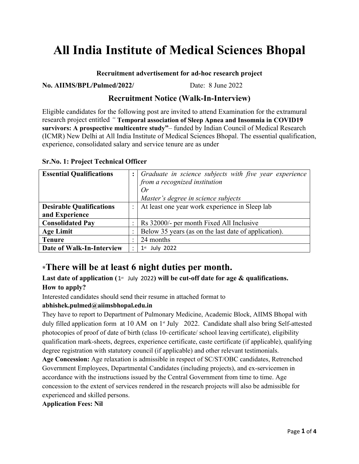# **All India Institute of Medical Sciences Bhopal**

#### **Recruitment advertisement for ad-hoc research project**

**No. AIIMS/BPL/Pulmed/2022/** Date: 8 June 2022

## **Recruitment Notice (Walk-In-Interview)**

Eligible candidates for the following post are invited to attend Examination for the extramural research project entitled *"* **Temporal association of Sleep Apnea and Insomnia in COVID19 survivors: A prospective multicentre study"**– funded by Indian Council of Medical Research (ICMR) New Delhi at All India Institute of Medical Sciences Bhopal. The essential qualification, experience, consolidated salary and service tenure are as under

|  |  |  | <b>Sr.No. 1: Project Technical Officer</b> |  |  |
|--|--|--|--------------------------------------------|--|--|
|--|--|--|--------------------------------------------|--|--|

| <b>Essential Qualifications</b> |  | Graduate in science subjects with five year experience |
|---------------------------------|--|--------------------------------------------------------|
|                                 |  | from a recognized institution                          |
|                                 |  | Or                                                     |
|                                 |  | Master's degree in science subjects                    |
| <b>Desirable Qualifications</b> |  | At least one year work experience in Sleep lab         |
| and Experience                  |  |                                                        |
| <b>Consolidated Pay</b>         |  | Rs 32000/- per month Fixed All Inclusive               |
| <b>Age Limit</b>                |  | Below 35 years (as on the last date of application).   |
| <b>Tenure</b>                   |  | 24 months                                              |
| Date of Walk-In-Interview       |  | July 2022<br>1 <sup>st</sup>                           |

# **\*There will be at least 6 night duties per month.**

Last date of application (1<sup>st</sup> July 2022) will be cut-off date for age & qualifications. **How to apply?**

Interested candidates should send their resume in attached format to

### **abhishek.pulmed@aiimsbhopal.edu.in**

They have to report to Department of Pulmonary Medicine, Academic Block, AIIMS Bhopal with duly filled application form at 10 AM on  $1<sup>s</sup>$  July 2022. Candidate shall also bring Self-attested photocopies of proof of date of birth (class  $10<sup>th</sup>$  certificate/ school leaving certificate), eligibility qualification mark-sheets, degrees, experience certificate, caste certificate (if applicable), qualifying degree registration with statutory council (if applicable) and other relevant testimonials.

**Age Concession:** Age relaxation is admissible in respect of SC/ST/OBC candidates, Retrenched Government Employees, Departmental Candidates (including projects), and ex-servicemen in accordance with the instructions issued by the Central Government from time to time. Age concession to the extent of services rendered in the research projects will also be admissible for experienced and skilled persons.

**Application Fees: Nil**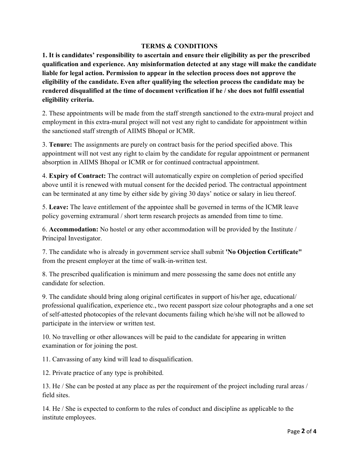### **TERMS & CONDITIONS**

**1. It is candidates' responsibility to ascertain and ensure their eligibility as per the prescribed qualification and experience. Any misinformation detected at any stage will make the candidate liable for legal action. Permission to appear in the selection process does not approve the eligibility of the candidate. Even after qualifying the selection process the candidate may be rendered disqualified at the time of document verification if he / she does not fulfil essential eligibility criteria.** 

2. These appointments will be made from the staff strength sanctioned to the extra-mural project and employment in this extra-mural project will not vest any right to candidate for appointment within the sanctioned staff strength of AIIMS Bhopal or ICMR.

3. **Tenure:** The assignments are purely on contract basis for the period specified above. This appointment will not vest any right to claim by the candidate for regular appointment or permanent absorption in AIIMS Bhopal or ICMR or for continued contractual appointment.

4. **Expiry of Contract:** The contract will automatically expire on completion of period specified above until it is renewed with mutual consent for the decided period. The contractual appointment can be terminated at any time by either side by giving 30 days' notice or salary in lieu thereof.

5. **Leave:** The leave entitlement of the appointee shall be governed in terms of the ICMR leave policy governing extramural / short term research projects as amended from time to time.

6. **Accommodation:** No hostel or any other accommodation will be provided by the Institute / Principal Investigator.

7. The candidate who is already in government service shall submit **'No Objection Certificate"**  from the present employer at the time of walk-in-written test.

8. The prescribed qualification is minimum and mere possessing the same does not entitle any candidate for selection.

9. The candidate should bring along original certificates in support of his/her age, educational/ professional qualification, experience etc., two recent passport size colour photographs and a one set of self-attested photocopies of the relevant documents failing which he/she will not be allowed to participate in the interview or written test.

10. No travelling or other allowances will be paid to the candidate for appearing in written examination or for joining the post.

11. Canvassing of any kind will lead to disqualification.

12. Private practice of any type is prohibited.

13. He / She can be posted at any place as per the requirement of the project including rural areas / field sites.

14. He / She is expected to conform to the rules of conduct and discipline as applicable to the institute employees.